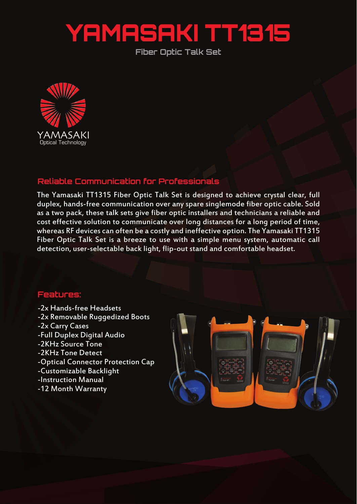## YAMASAKI TT1315

**Fiber Optic Talk Set**



## **Reliable Communication for Professionals**

The Yamasaki TT1315 Fiber Optic Talk Set is designed to achieve crystal clear, full duplex, hands-free communication over any spare singlemode fiber optic cable. Sold as a two pack, these talk sets give fiber optic installers and technicians a reliable and cost effective solution to communicate over long distances for a long period of time, whereas RF devices can often be a costly and ineffective option. The Yamasaki TT1315 Fiber Optic Talk Set is a breeze to use with a simple menu system, automatic call detection, user-selectable back light, flip-out stand and comfortable headset.

## **Features:**

- -2x Hands-free Headsets
- -2x Removable Ruggedized Boots
- -2x Carry Cases
- -Full Duplex Digital Audio
- -2KHz Source Tone
- -2KHz Tone Detect
- -Optical Connector Protection Cap
- -Customizable Backlight
- -Instruction Manual
- -12 Month Warranty